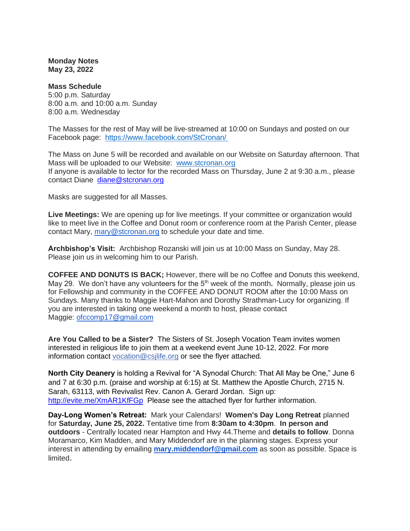**Monday Notes May 23, 2022**

**Mass Schedule** 5:00 p.m. Saturday 8:00 a.m. and 10:00 a.m. Sunday 8:00 a.m. Wednesday

The Masses for the rest of May will be live-streamed at 10:00 on Sundays and posted on our Facebook page: <https://www.facebook.com/StCronan/>

The Mass on June 5 will be recorded and available on our Website on Saturday afternoon. That Mass will be uploaded to our Website: [www.stcronan.org](http://www.stcronan.org/) If anyone is available to lector for the recorded Mass on Thursday, June 2 at 9:30 a.m., please contact Diane [diane@stcronan.org](mailto:diane@stcronan.org)

Masks are suggested for all Masses.

**Live Meetings:** We are opening up for live meetings. If your committee or organization would like to meet live in the Coffee and Donut room or conference room at the Parish Center, please contact Mary, [mary@stcronan.org](mailto:mary@stcronan.org) to schedule your date and time.

**Archbishop's Visit:** Archbishop Rozanski will join us at 10:00 Mass on Sunday, May 28. Please join us in welcoming him to our Parish.

**COFFEE AND DONUTS IS BACK;** However, there will be no Coffee and Donuts this weekend, May 29. We don't have any volunteers for the 5<sup>th</sup> week of the month. Normally, please join us for Fellowship and community in the COFFEE AND DONUT ROOM after the 10:00 Mass on Sundays. Many thanks to Maggie Hart-Mahon and Dorothy Strathman-Lucy for organizing. If you are interested in taking one weekend a month to host, please contact Maggie: [ofccomp17@gmail.com](mailto:ofccomp17@gmail.com) 

**Are You Called to be a Sister?** The Sisters of St. Joseph Vocation Team invites women interested in religious life to join them at a weekend event June 10-12, 2022. For more information contact [vocation@csjlife.org](mailto:vocation@csjlife.org) or see the flyer attached.

**North City Deanery** is holding a Revival for "A Synodal Church: That All May be One," June 6 and 7 at 6:30 p.m. (praise and worship at 6:15) at St. Matthew the Apostle Church, 2715 N. Sarah, 63113, with Revivalist Rev. Canon A. Gerard Jordan. Sign up: <http://evite.me/XmAR1KfFGp>Please see the attached flyer for further information.

**Day-Long Women's Retreat:** Mark your Calendars! **Women's Day Long Retreat** planned for **Saturday, June 25, 2022.** Tentative time from **8:30am to 4:30pm**. **In person and outdoors** - Centrally located near Hampton and Hwy 44.Theme and **details to follow**. Donna Moramarco, Kim Madden, and Mary Middendorf are in the planning stages. Express your interest in attending by emailing **[mary.middendorf@gmail.com](mailto:mary.middendorf@gmail.com)** as soon as possible. Space is limited.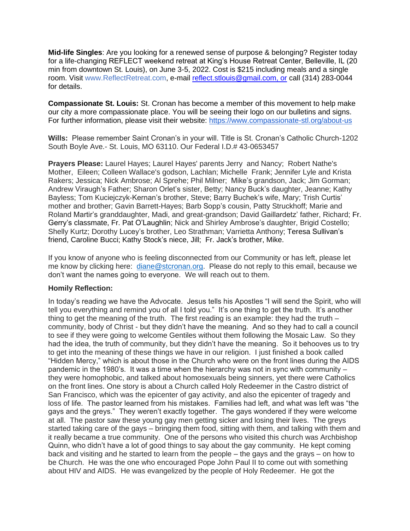**Mid-life Singles**: Are you looking for a renewed sense of purpose & belonging? Register today for a life-changing REFLECT weekend retreat at King's House Retreat Center, Belleville, IL (20 min from downtown St. Louis), on June 3-5, 2022. Cost is \$215 including meals and a single room. Visit [www.ReflectRetreat.com,](http://www.reflectretreat.com/) e-mail [reflect.stlouis@gmail.com, or](mailto:reflect.stlouis@gmail.com) call (314) 283-0044 for details.

**Compassionate St. Louis:** St. Cronan has become a member of this movement to help make our city a more compassionate place. You will be seeing their logo on our bulletins and signs. For further information, please visit their website: <https://www.compassionate-stl.org/about-us>

**Wills:** Please remember Saint Cronan's in your will. Title is St. Cronan's Catholic Church-1202 South Boyle Ave.- St. Louis, MO 63110. Our Federal I.D.# 43-0653457

**Prayers Please:** Laurel Hayes; Laurel Hayes' parents Jerry and Nancy; Robert Nathe's Mother, Eileen; Colleen Wallace's godson, Lachlan; Michelle Frank; Jennifer Lyle and Krista Rakers; Jessica; Nick Ambrose; Al Sprehe; Phil Milner; Mike's grandson, Jack; Jim Gorman; Andrew Viraugh's Father; Sharon Orlet's sister, Betty; Nancy Buck's daughter, Jeanne; Kathy Bayless; Tom Kuciejczyk-Kernan's brother, Steve; Barry Buchek's wife, Mary; Trish Curtis' mother and brother; Gavin Barrett-Hayes; Barb Sopp's cousin, Patty Struckhoff; Marie and Roland Martir's granddaughter, Madi, and great-grandson; David Gaillardetz' father, Richard; Fr. Gerry's classmate, Fr. Pat O'Laughlin; Nick and Shirley Ambrose's daughter, Brigid Costello; Shelly Kurtz; Dorothy Lucey's brother, Leo Strathman; Varrietta Anthony; Teresa Sullivan's friend, Caroline Bucci; Kathy Stock's niece, Jill; Fr. Jack's brother, Mike.

If you know of anyone who is feeling disconnected from our Community or has left, please let me know by clicking here: [diane@stcronan.org.](mailto:diane@stcronan.org) Please do not reply to this email, because we don't want the names going to everyone. We will reach out to them.

## **Homily Reflection:**

In today's reading we have the Advocate. Jesus tells his Apostles "I will send the Spirit, who will tell you everything and remind you of all I told you." It's one thing to get the truth. It's another thing to get the meaning of the truth. The first reading is an example: they had the truth – community, body of Christ - but they didn't have the meaning. And so they had to call a council to see if they were going to welcome Gentiles without them following the Mosaic Law. So they had the idea, the truth of community, but they didn't have the meaning. So it behooves us to try to get into the meaning of these things we have in our religion. I just finished a book called "Hidden Mercy," which is about those in the Church who were on the front lines during the AIDS pandemic in the 1980's. It was a time when the hierarchy was not in sync with community – they were homophobic, and talked about homosexuals being sinners, yet there were Catholics on the front lines. One story is about a Church called Holy Redeemer in the Castro district of San Francisco, which was the epicenter of gay activity, and also the epicenter of tragedy and loss of life. The pastor learned from his mistakes. Families had left, and what was left was "the gays and the greys." They weren't exactly together. The gays wondered if they were welcome at all. The pastor saw these young gay men getting sicker and losing their lives. The greys started taking care of the gays – bringing them food, sitting with them, and talking with them and it really became a true community. One of the persons who visited this church was Archbishop Quinn, who didn't have a lot of good things to say about the gay community. He kept coming back and visiting and he started to learn from the people – the gays and the grays – on how to be Church. He was the one who encouraged Pope John Paul II to come out with something about HIV and AIDS. He was evangelized by the people of Holy Redeemer. He got the